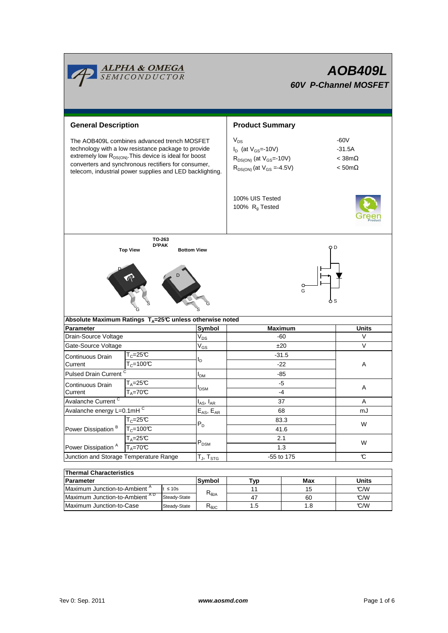

| i i nermal Characteristics.              |              |                |      |      |              |  |  |  |  |  |
|------------------------------------------|--------------|----------------|------|------|--------------|--|--|--|--|--|
| <b>Parameter</b>                         |              | Symbol         | Tvɒ  | Max  | <b>Units</b> |  |  |  |  |  |
| Maximum Junction-to-Ambient <sup>"</sup> | $\leq 10s$   |                |      | 15   | C/M          |  |  |  |  |  |
| Maximum Junction-to-Ambient AD           | Steady-State | $R_{\theta$ JA |      | 60   | C/M          |  |  |  |  |  |
| Maximum Junction-to-Case                 | Steady-State | ™θJC           | 5. ا | 8. I | C/M          |  |  |  |  |  |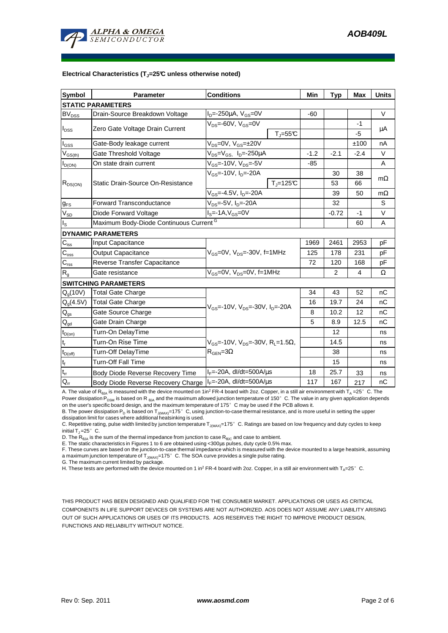

#### **Electrical Characteristics (TJ=25°C unless otherwise noted)**

| Symbol                      | <b>Parameter</b>                                            | <b>Conditions</b>                                                                                          |                              | Min    | Typ            | <b>Max</b> | <b>Units</b> |  |  |  |  |
|-----------------------------|-------------------------------------------------------------|------------------------------------------------------------------------------------------------------------|------------------------------|--------|----------------|------------|--------------|--|--|--|--|
| <b>STATIC PARAMETERS</b>    |                                                             |                                                                                                            |                              |        |                |            |              |  |  |  |  |
| <b>BV<sub>DSS</sub></b>     | Drain-Source Breakdown Voltage                              | $I_D = -250 \mu A$ , $V_{GS} = 0V$                                                                         |                              | -60    |                |            | $\vee$       |  |  |  |  |
| $I_{DSS}$                   | Zero Gate Voltage Drain Current                             | $V_{DS}$ =-60V, $V_{GS}$ =0V                                                                               |                              |        |                | -1         |              |  |  |  |  |
|                             |                                                             |                                                                                                            | $T_{\text{J}} = 55^{\circ}C$ |        |                | $-5$       | $\mu$ A      |  |  |  |  |
| I <sub>GSS</sub>            | Gate-Body leakage current                                   | $V_{DS} = 0V$ , $V_{GS} = \pm 20V$                                                                         |                              |        |                | ±100       | nA           |  |  |  |  |
| $V_{GS(th)}$                | Gate Threshold Voltage                                      | V <sub>DS</sub> =V <sub>GS</sub> , I <sub>D</sub> =-250µA                                                  |                              | $-1.2$ | $-2.1$         | $-2.4$     | $\vee$       |  |  |  |  |
| $I_{D(ON)}$                 | On state drain current                                      | $V_{GS}$ =-10V, $V_{DS}$ =-5V                                                                              |                              | $-85$  |                |            | A            |  |  |  |  |
| $R_{DS(ON)}$                |                                                             | $V_{GS}$ =-10V, $I_{D}$ =-20A                                                                              |                              |        | 30             | 38         | $m\Omega$    |  |  |  |  |
|                             | Static Drain-Source On-Resistance                           |                                                                                                            | $T_{\parallel} = 125$ °C     |        | 53             | 66         |              |  |  |  |  |
|                             |                                                             | $V_{GS}$ =-4.5V, $I_{D}$ =-20A                                                                             |                              |        | 39             | 50         | $m\Omega$    |  |  |  |  |
| $g_{FS}$                    | <b>Forward Transconductance</b>                             | $V_{DS} = -5V$ , $I_{D} = -20A$                                                                            |                              |        | 32             |            | S            |  |  |  |  |
| $V_{SD}$                    | Diode Forward Voltage                                       | $IS=-1A, VGS=0V$                                                                                           |                              |        | $-0.72$        | -1         | V            |  |  |  |  |
| $I_{\tt S}$                 | Maximum Body-Diode Continuous Current <sup>G</sup>          |                                                                                                            |                              |        |                | 60         | A            |  |  |  |  |
|                             | <b>DYNAMIC PARAMETERS</b>                                   |                                                                                                            |                              |        |                |            |              |  |  |  |  |
| $C_{iss}$                   | Input Capacitance                                           | $V_{GS}$ =0V, $V_{DS}$ =-30V, f=1MHz                                                                       |                              | 1969   | 2461           | 2953       | pF           |  |  |  |  |
| $C_{\rm oss}$               | <b>Output Capacitance</b>                                   |                                                                                                            |                              | 125    | 178            | 231        | рF           |  |  |  |  |
| $\mathsf{C}_{\mathsf{rss}}$ | Reverse Transfer Capacitance                                |                                                                                                            |                              | 72     | 120            | 168        | pF           |  |  |  |  |
| $R_{q}$                     | Gate resistance                                             | $V_{GS}$ =0V, $V_{DS}$ =0V, f=1MHz                                                                         |                              |        | $\overline{2}$ | 4          | Ω            |  |  |  |  |
|                             | <b>SWITCHING PARAMETERS</b>                                 |                                                                                                            |                              |        |                |            |              |  |  |  |  |
| $Q_q(10V)$                  | Total Gate Charge                                           | $V_{GS}$ =-10V, $V_{DS}$ =-30V, $I_{D}$ =-20A                                                              |                              | 34     | 43             | 52         | nC           |  |  |  |  |
| $Q_q(4.5V)$                 | <b>Total Gate Charge</b>                                    |                                                                                                            |                              | 16     | 19.7           | 24         | nC           |  |  |  |  |
| $\mathsf{Q}_{\mathsf{gs}}$  | Gate Source Charge                                          |                                                                                                            |                              | 8      | 10.2           | 12         | nC           |  |  |  |  |
| $\mathsf{Q}_{\text{gd}}$    | Gate Drain Charge                                           |                                                                                                            |                              | 5      | 8.9            | 12.5       | nC           |  |  |  |  |
| $t_{D(on)}$                 | Turn-On DelayTime                                           | $V_{\text{GS}}$ =-10V, $V_{\text{DS}}$ =-30V, R <sub>1</sub> =1.5 $\Omega$ ,<br>$R_{\text{GEN}} = 3\Omega$ |                              |        | 12             |            | ns           |  |  |  |  |
| $\mathfrak{t}_{\mathsf{r}}$ | Turn-On Rise Time                                           |                                                                                                            |                              |        | 14.5           |            | ns           |  |  |  |  |
| $t_{D(off)}$                | Turn-Off DelayTime                                          |                                                                                                            |                              |        | 38             |            | ns           |  |  |  |  |
| $t_f$                       | <b>Turn-Off Fall Time</b>                                   |                                                                                                            |                              |        | 15             |            | ns           |  |  |  |  |
| $\mathfrak{t}_{\text{rr}}$  | Body Diode Reverse Recovery Time                            | $I_F$ =-20A, dl/dt=500A/ $\mu$ s                                                                           |                              | 18     | 25.7           | 33         | ns           |  |  |  |  |
| $Q_{rr}$                    | Body Diode Reverse Recovery Charge   IF=-20A, dl/dt=500A/us |                                                                                                            |                              |        | 167            | 217        | nC           |  |  |  |  |

A. The value of R<sub>BJA</sub> is measured with the device mounted on 1in<sup>2</sup> FR-4 board with 2oz. Copper, in a still air environment with T<sub>A</sub> =25°C. The Power dissipation P<sub>DSM</sub> is based on R <sub>θJA</sub> and the maximum allowed junction temperature of 150°C. The value in any given application depends

on the user's specific board design, and the maximum temperature of 175°C may be used if the PCB allows it. B. The power dissipation P<sub>D</sub> is based on T<sub>J(MAX)</sub>=175°C, using junction-to-case thermal resistance, and is more useful in setting the upper<br>dissipation limit for cases where additional heatsinking is used.

C. Repetitive rating, pulse width limited by junction temperature T<sub>J(MAX)</sub>=175°C. Ratings are based on low frequency and duty cycles to keep initial  $T_1 = 25^\circ$  C.

D. The  $R_{AIA}$  is the sum of the thermal impedance from junction to case  $R_{AIC}$  and case to ambient.

E. The static characteristics in Figures 1 to 6 are obtained using <300µs pulses, duty cycle 0.5% max.

F. These curves are based on the junction-to-case thermal impedance which is measured with the device mounted to a large heatsink, assuming a maximum junction temperature of  $T_{J(MAX)}$ =175° C. The SOA curve provides a single pulse rating.

G. The maximum current limited by package.

H. These tests are performed with the device mounted on 1 in<sup>2</sup> FR-4 board with 2oz. Copper, in a still air environment with T<sub>A</sub>=25°C.

THIS PRODUCT HAS BEEN DESIGNED AND QUALIFIED FOR THE CONSUMER MARKET. APPLICATIONS OR USES AS CRITICAL COMPONENTS IN LIFE SUPPORT DEVICES OR SYSTEMS ARE NOT AUTHORIZED. AOS DOES NOT ASSUME ANY LIABILITY ARISING OUT OF SUCH APPLICATIONS OR USES OF ITS PRODUCTS. AOS RESERVES THE RIGHT TO IMPROVE PRODUCT DESIGN, FUNCTIONS AND RELIABILITY WITHOUT NOTICE.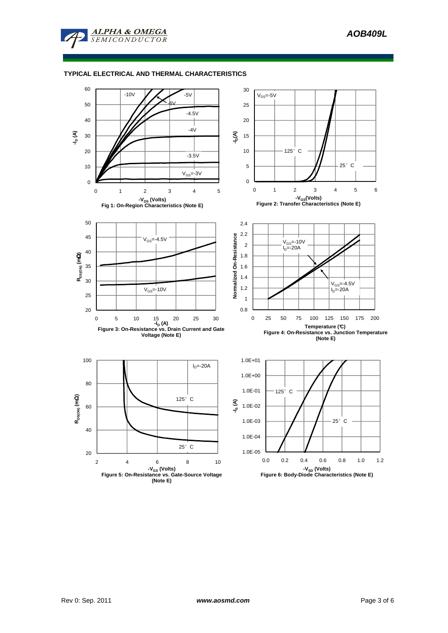

# **TYPICAL ELECTRICAL AND THERMAL CHARACTERISTICS**

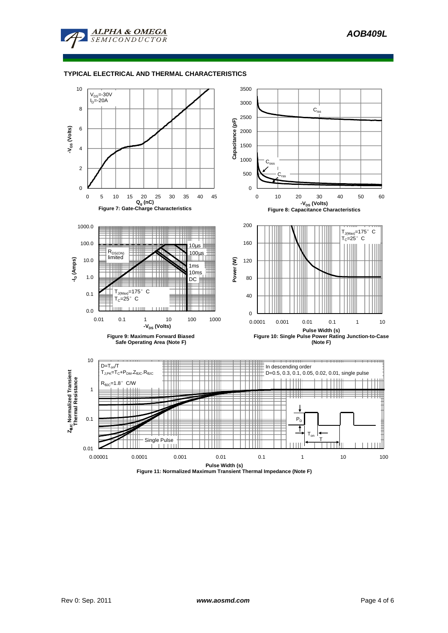

# **TYPICAL ELECTRICAL AND THERMAL CHARACTERISTICS**



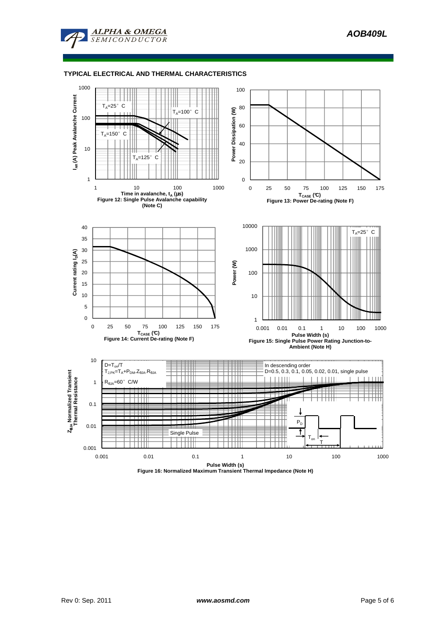

# **TYPICAL ELECTRICAL AND THERMAL CHARACTERISTICS**